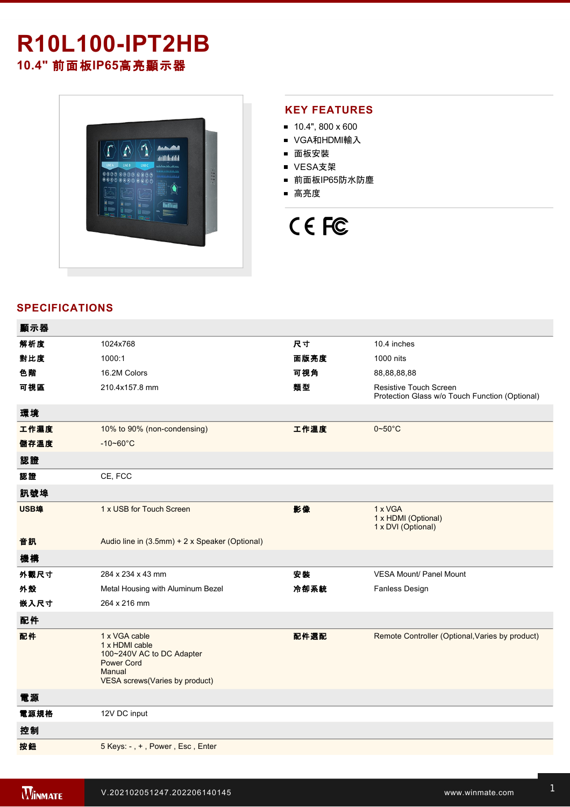## **R10L100-IPT2HB**

**10.4"** 前面板**IP65**高亮顯示器



## **KEY FEATURES**

- $10.4$ ", 800 x 600
- VGA和HDMI輸入
- 面板安裝
- VESA支架
- 前面板IP65防水防塵
- 高亮度



## **SPECIFICATIONS**

| 顯示器  |                                                                                                                               |      |                                                                                 |
|------|-------------------------------------------------------------------------------------------------------------------------------|------|---------------------------------------------------------------------------------|
| 解析度  | 1024x768                                                                                                                      | 尺寸   | 10.4 inches                                                                     |
| 對比度  | 1000:1                                                                                                                        | 面版亮度 | 1000 nits                                                                       |
| 色階   | 16.2M Colors                                                                                                                  | 可視角  | 88,88,88,88                                                                     |
| 可視區  | 210.4x157.8 mm                                                                                                                | 類型   | <b>Resistive Touch Screen</b><br>Protection Glass w/o Touch Function (Optional) |
| 環境   |                                                                                                                               |      |                                                                                 |
| 工作濕度 | 10% to 90% (non-condensing)                                                                                                   | 工作溫度 | $0\nightharpoonup 50^{\circ}$ C                                                 |
| 儲存溫度 | $-10 - 60^{\circ}$ C                                                                                                          |      |                                                                                 |
| 認證   |                                                                                                                               |      |                                                                                 |
| 認證   | CE, FCC                                                                                                                       |      |                                                                                 |
| 訊號埠  |                                                                                                                               |      |                                                                                 |
| USB埠 | 1 x USB for Touch Screen                                                                                                      | 影像   | 1 x VGA<br>1 x HDMI (Optional)<br>1 x DVI (Optional)                            |
| 音訊   | Audio line in (3.5mm) + 2 x Speaker (Optional)                                                                                |      |                                                                                 |
| 機構   |                                                                                                                               |      |                                                                                 |
| 外觀尺寸 | 284 x 234 x 43 mm                                                                                                             | 安裝   | VESA Mount/ Panel Mount                                                         |
| 外殼   | Metal Housing with Aluminum Bezel                                                                                             | 冷卻系統 | <b>Fanless Design</b>                                                           |
| 嵌入尺寸 | 264 x 216 mm                                                                                                                  |      |                                                                                 |
| 配件   |                                                                                                                               |      |                                                                                 |
| 配件   | 1 x VGA cable<br>1 x HDMI cable<br>100~240V AC to DC Adapter<br><b>Power Cord</b><br>Manual<br>VESA screws(Varies by product) | 配件選配 | Remote Controller (Optional, Varies by product)                                 |
| 電源   |                                                                                                                               |      |                                                                                 |
| 電源規格 | 12V DC input                                                                                                                  |      |                                                                                 |
| 控制   |                                                                                                                               |      |                                                                                 |
| 按鈕   | 5 Keys: -, +, Power, Esc, Enter                                                                                               |      |                                                                                 |
|      |                                                                                                                               |      |                                                                                 |

**DIMENSIONS**  UNIT:MM